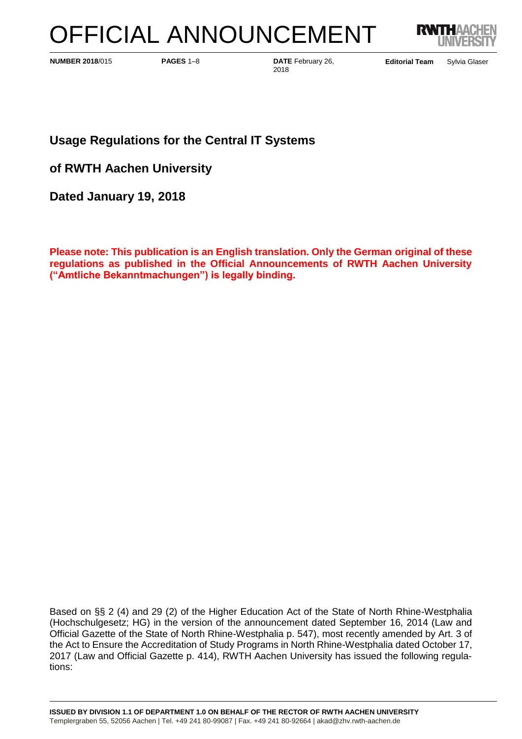# OFFICIAL ANNOUNCEMENT



**NUMBER 2018/015 PAGES 1-8 Editorial Team Editorial Team Editorial Team** 

**PAGES 1–8 DATE** February 26, 2018

Sylvia Glaser

## **Usage Regulations for the Central IT Systems**

**of RWTH Aachen University**

**Dated January 19, 2018**

**Please note: This publication is an English translation. Only the German original of these regulations as published in the Official Announcements of RWTH Aachen University ("Amtliche Bekanntmachungen") is legally binding.**

Based on §§ 2 (4) and 29 (2) of the Higher Education Act of the State of North Rhine-Westphalia (Hochschulgesetz; HG) in the version of the announcement dated September 16, 2014 (Law and Official Gazette of the State of North Rhine-Westphalia p. 547), most recently amended by Art. 3 of the Act to Ensure the Accreditation of Study Programs in North Rhine-Westphalia dated October 17, 2017 (Law and Official Gazette p. 414), RWTH Aachen University has issued the following regulations: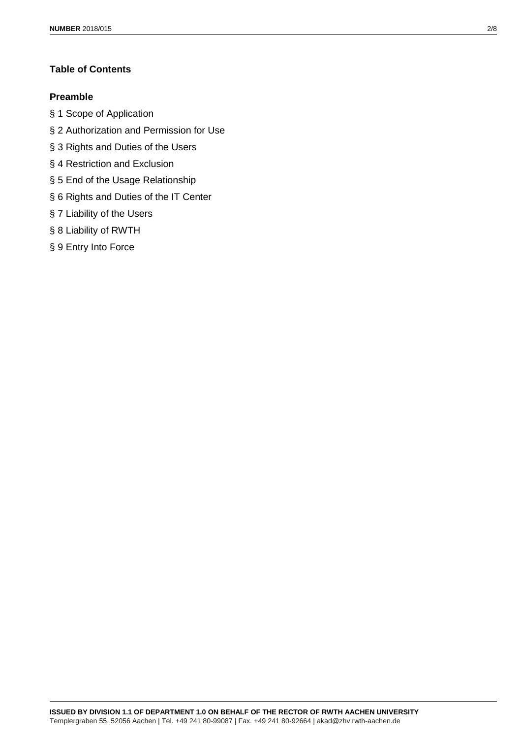### **Table of Contents**

#### **Preamble**

- § 1 Scope of Application
- § 2 Authorization and Permission for Use
- § 3 Rights and Duties of the Users
- § 4 Restriction and Exclusion
- § 5 End of the Usage Relationship
- § 6 Rights and Duties of the IT Center
- § 7 Liability of the Users
- § 8 Liability of RWTH
- § 9 Entry Into Force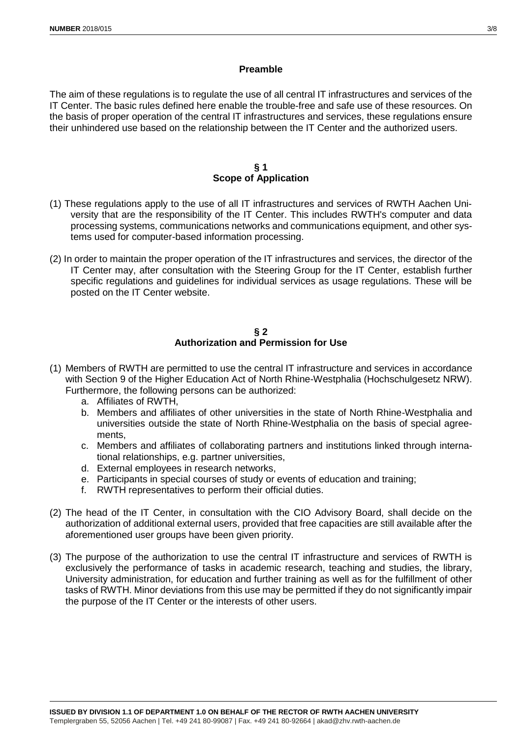#### **Preamble**

The aim of these regulations is to regulate the use of all central IT infrastructures and services of the IT Center. The basic rules defined here enable the trouble-free and safe use of these resources. On the basis of proper operation of the central IT infrastructures and services, these regulations ensure their unhindered use based on the relationship between the IT Center and the authorized users.

#### **§ 1 Scope of Application**

- (1) These regulations apply to the use of all IT infrastructures and services of RWTH Aachen University that are the responsibility of the IT Center. This includes RWTH's computer and data processing systems, communications networks and communications equipment, and other systems used for computer-based information processing.
- (2) In order to maintain the proper operation of the IT infrastructures and services, the director of the IT Center may, after consultation with the Steering Group for the IT Center, establish further specific regulations and guidelines for individual services as usage regulations. These will be posted on the IT Center website.

#### **§ 2 Authorization and Permission for Use**

- (1) Members of RWTH are permitted to use the central IT infrastructure and services in accordance with Section 9 of the Higher Education Act of North Rhine-Westphalia (Hochschulgesetz NRW). Furthermore, the following persons can be authorized:
	- a. Affiliates of RWTH,
	- b. Members and affiliates of other universities in the state of North Rhine-Westphalia and universities outside the state of North Rhine-Westphalia on the basis of special agreements,
	- c. Members and affiliates of collaborating partners and institutions linked through international relationships, e.g. partner universities,
	- d. External employees in research networks,
	- e. Participants in special courses of study or events of education and training;
	- f. RWTH representatives to perform their official duties.
- (2) The head of the IT Center, in consultation with the CIO Advisory Board, shall decide on the authorization of additional external users, provided that free capacities are still available after the aforementioned user groups have been given priority.
- (3) The purpose of the authorization to use the central IT infrastructure and services of RWTH is exclusively the performance of tasks in academic research, teaching and studies, the library, University administration, for education and further training as well as for the fulfillment of other tasks of RWTH. Minor deviations from this use may be permitted if they do not significantly impair the purpose of the IT Center or the interests of other users.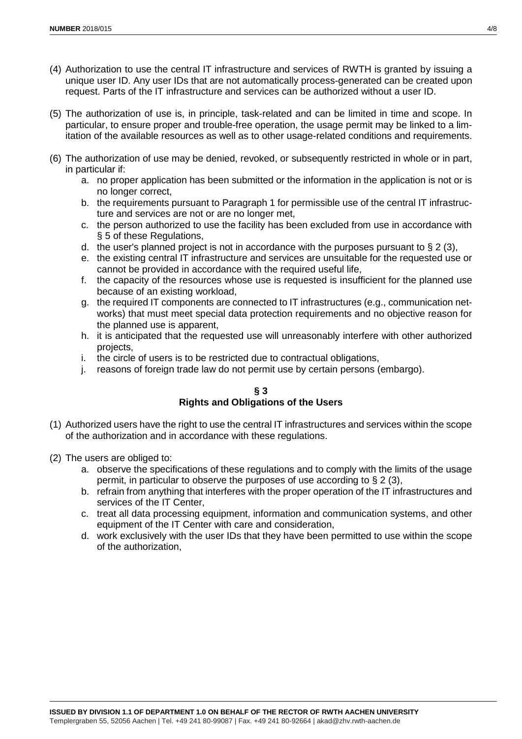- (4) Authorization to use the central IT infrastructure and services of RWTH is granted by issuing a unique user ID. Any user IDs that are not automatically process-generated can be created upon request. Parts of the IT infrastructure and services can be authorized without a user ID.
- (5) The authorization of use is, in principle, task-related and can be limited in time and scope. In particular, to ensure proper and trouble-free operation, the usage permit may be linked to a limitation of the available resources as well as to other usage-related conditions and requirements.
- (6) The authorization of use may be denied, revoked, or subsequently restricted in whole or in part, in particular if:
	- a. no proper application has been submitted or the information in the application is not or is no longer correct,
	- b. the requirements pursuant to Paragraph 1 for permissible use of the central IT infrastructure and services are not or are no longer met,
	- c. the person authorized to use the facility has been excluded from use in accordance with § 5 of these Regulations,
	- d. the user's planned project is not in accordance with the purposes pursuant to  $\S 2$  (3),
	- e. the existing central IT infrastructure and services are unsuitable for the requested use or cannot be provided in accordance with the required useful life,
	- f. the capacity of the resources whose use is requested is insufficient for the planned use because of an existing workload,
	- g. the required IT components are connected to IT infrastructures (e.g., communication networks) that must meet special data protection requirements and no objective reason for the planned use is apparent,
	- h. it is anticipated that the requested use will unreasonably interfere with other authorized projects,
	- i. the circle of users is to be restricted due to contractual obligations,
	- j. reasons of foreign trade law do not permit use by certain persons (embargo).

#### **§ 3 Rights and Obligations of the Users**

- (1) Authorized users have the right to use the central IT infrastructures and services within the scope of the authorization and in accordance with these regulations.
- (2) The users are obliged to:
	- a. observe the specifications of these regulations and to comply with the limits of the usage permit, in particular to observe the purposes of use according to  $\S 2(3)$ ,
	- b. refrain from anything that interferes with the proper operation of the IT infrastructures and services of the IT Center,
	- c. treat all data processing equipment, information and communication systems, and other equipment of the IT Center with care and consideration,
	- d. work exclusively with the user IDs that they have been permitted to use within the scope of the authorization,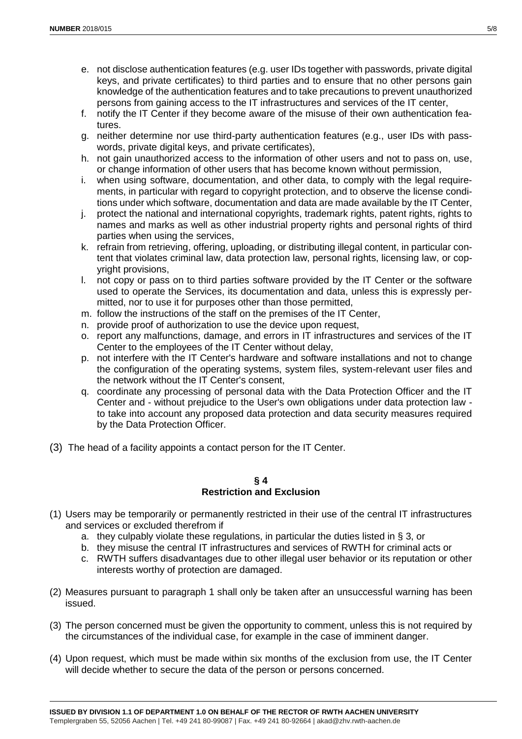- e. not disclose authentication features (e.g. user IDs together with passwords, private digital keys, and private certificates) to third parties and to ensure that no other persons gain knowledge of the authentication features and to take precautions to prevent unauthorized persons from gaining access to the IT infrastructures and services of the IT center,
- f. notify the IT Center if they become aware of the misuse of their own authentication features.
- g. neither determine nor use third-party authentication features (e.g., user IDs with passwords, private digital keys, and private certificates),
- h. not gain unauthorized access to the information of other users and not to pass on, use, or change information of other users that has become known without permission,
- i. when using software, documentation, and other data, to comply with the legal requirements, in particular with regard to copyright protection, and to observe the license conditions under which software, documentation and data are made available by the IT Center,
- j. protect the national and international copyrights, trademark rights, patent rights, rights to names and marks as well as other industrial property rights and personal rights of third parties when using the services,
- k. refrain from retrieving, offering, uploading, or distributing illegal content, in particular content that violates criminal law, data protection law, personal rights, licensing law, or copyright provisions,
- l. not copy or pass on to third parties software provided by the IT Center or the software used to operate the Services, its documentation and data, unless this is expressly permitted, nor to use it for purposes other than those permitted,
- m. follow the instructions of the staff on the premises of the IT Center,
- n. provide proof of authorization to use the device upon request,
- o. report any malfunctions, damage, and errors in IT infrastructures and services of the IT Center to the employees of the IT Center without delay,
- p. not interfere with the IT Center's hardware and software installations and not to change the configuration of the operating systems, system files, system-relevant user files and the network without the IT Center's consent,
- q. coordinate any processing of personal data with the Data Protection Officer and the IT Center and - without prejudice to the User's own obligations under data protection law to take into account any proposed data protection and data security measures required by the Data Protection Officer.
- (3) The head of a facility appoints a contact person for the IT Center.

#### **§ 4 Restriction and Exclusion**

- (1) Users may be temporarily or permanently restricted in their use of the central IT infrastructures and services or excluded therefrom if
	- a. they culpably violate these regulations, in particular the duties listed in § 3, or
	- b. they misuse the central IT infrastructures and services of RWTH for criminal acts or
	- c. RWTH suffers disadvantages due to other illegal user behavior or its reputation or other interests worthy of protection are damaged.
- (2) Measures pursuant to paragraph 1 shall only be taken after an unsuccessful warning has been issued.
- (3) The person concerned must be given the opportunity to comment, unless this is not required by the circumstances of the individual case, for example in the case of imminent danger.
- (4) Upon request, which must be made within six months of the exclusion from use, the IT Center will decide whether to secure the data of the person or persons concerned.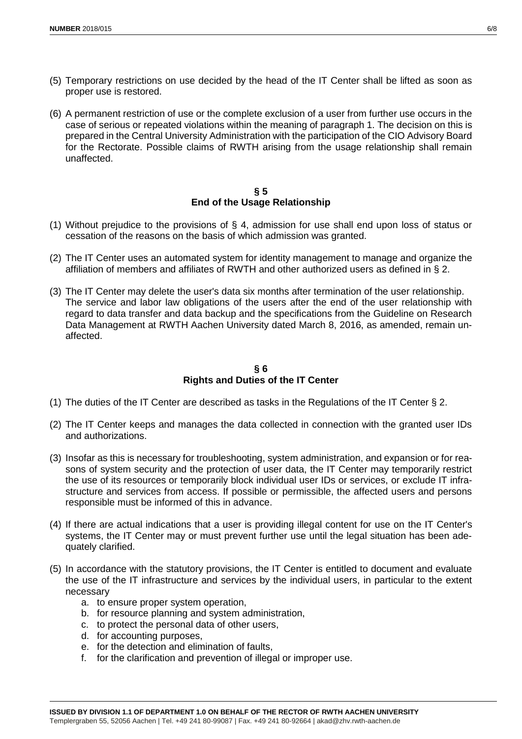- (5) Temporary restrictions on use decided by the head of the IT Center shall be lifted as soon as proper use is restored.
- (6) A permanent restriction of use or the complete exclusion of a user from further use occurs in the case of serious or repeated violations within the meaning of paragraph 1. The decision on this is prepared in the Central University Administration with the participation of the CIO Advisory Board for the Rectorate. Possible claims of RWTH arising from the usage relationship shall remain unaffected.

#### **§ 5 End of the Usage Relationship**

- (1) Without prejudice to the provisions of § 4, admission for use shall end upon loss of status or cessation of the reasons on the basis of which admission was granted.
- (2) The IT Center uses an automated system for identity management to manage and organize the affiliation of members and affiliates of RWTH and other authorized users as defined in § 2.
- (3) The IT Center may delete the user's data six months after termination of the user relationship. The service and labor law obligations of the users after the end of the user relationship with regard to data transfer and data backup and the specifications from the Guideline on Research Data Management at RWTH Aachen University dated March 8, 2016, as amended, remain unaffected.

#### **§ 6 Rights and Duties of the IT Center**

- (1) The duties of the IT Center are described as tasks in the Regulations of the IT Center § 2.
- (2) The IT Center keeps and manages the data collected in connection with the granted user IDs and authorizations.
- (3) Insofar as this is necessary for troubleshooting, system administration, and expansion or for reasons of system security and the protection of user data, the IT Center may temporarily restrict the use of its resources or temporarily block individual user IDs or services, or exclude IT infrastructure and services from access. If possible or permissible, the affected users and persons responsible must be informed of this in advance.
- (4) If there are actual indications that a user is providing illegal content for use on the IT Center's systems, the IT Center may or must prevent further use until the legal situation has been adequately clarified.
- (5) In accordance with the statutory provisions, the IT Center is entitled to document and evaluate the use of the IT infrastructure and services by the individual users, in particular to the extent necessary
	- a. to ensure proper system operation,
	- b. for resource planning and system administration,
	- c. to protect the personal data of other users,
	- d. for accounting purposes,
	- e. for the detection and elimination of faults,
	- f. for the clarification and prevention of illegal or improper use.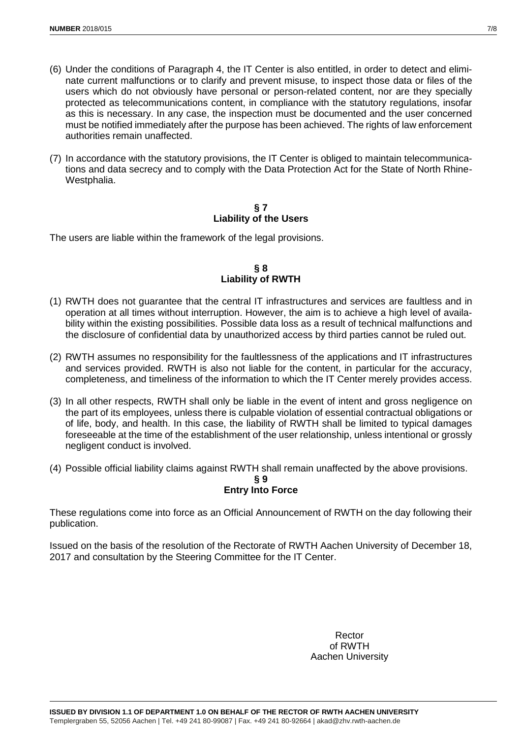- (6) Under the conditions of Paragraph 4, the IT Center is also entitled, in order to detect and eliminate current malfunctions or to clarify and prevent misuse, to inspect those data or files of the users which do not obviously have personal or person-related content, nor are they specially protected as telecommunications content, in compliance with the statutory regulations, insofar as this is necessary. In any case, the inspection must be documented and the user concerned must be notified immediately after the purpose has been achieved. The rights of law enforcement authorities remain unaffected.
- (7) In accordance with the statutory provisions, the IT Center is obliged to maintain telecommunications and data secrecy and to comply with the Data Protection Act for the State of North Rhine-Westphalia.

#### **§ 7 Liability of the Users**

The users are liable within the framework of the legal provisions.

#### **§ 8 Liability of RWTH**

- (1) RWTH does not guarantee that the central IT infrastructures and services are faultless and in operation at all times without interruption. However, the aim is to achieve a high level of availability within the existing possibilities. Possible data loss as a result of technical malfunctions and the disclosure of confidential data by unauthorized access by third parties cannot be ruled out.
- (2) RWTH assumes no responsibility for the faultlessness of the applications and IT infrastructures and services provided. RWTH is also not liable for the content, in particular for the accuracy, completeness, and timeliness of the information to which the IT Center merely provides access.
- (3) In all other respects, RWTH shall only be liable in the event of intent and gross negligence on the part of its employees, unless there is culpable violation of essential contractual obligations or of life, body, and health. In this case, the liability of RWTH shall be limited to typical damages foreseeable at the time of the establishment of the user relationship, unless intentional or grossly negligent conduct is involved.
- (4) Possible official liability claims against RWTH shall remain unaffected by the above provisions.

#### **§ 9 Entry Into Force**

These regulations come into force as an Official Announcement of RWTH on the day following their publication.

Issued on the basis of the resolution of the Rectorate of RWTH Aachen University of December 18, 2017 and consultation by the Steering Committee for the IT Center.

> Rector of RWTH Aachen University